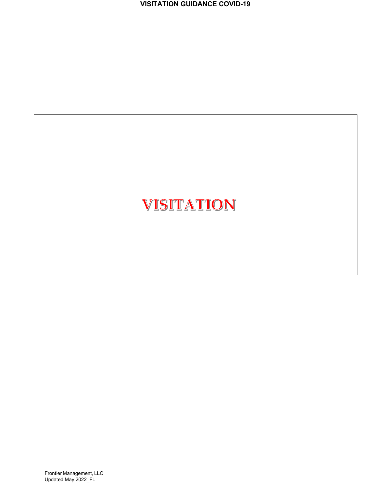**VISITATION GUIDANCE COVID-19**

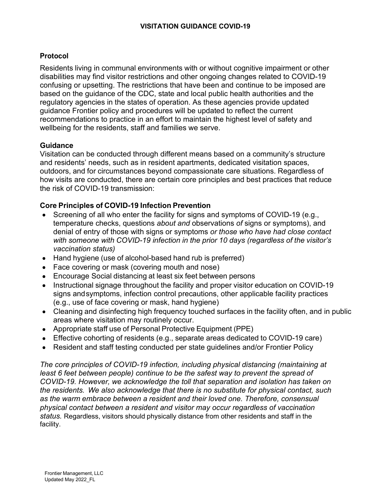# **Protocol**

Residents living in communal environments with or without cognitive impairment or other disabilities may find visitor restrictions and other ongoing changes related to COVID-19 confusing or upsetting. The restrictions that have been and continue to be imposed are based on the guidance of the CDC, state and local public health authorities and the regulatory agencies in the states of operation. As these agencies provide updated guidance Frontier policy and procedures will be updated to reflect the current recommendations to practice in an effort to maintain the highest level of safety and wellbeing for the residents, staff and families we serve.

## **Guidance**

Visitation can be conducted through different means based on a community's structure and residents' needs, such as in resident apartments, dedicated visitation spaces, outdoors, and for circumstances beyond compassionate care situations. Regardless of how visits are conducted, there are certain core principles and best practices that reduce the risk of COVID-19 transmission:

## **Core Principles of COVID-19 Infection Prevention**

- Screening of all who enter the facility for signs and symptoms of COVID-19 (e.g., temperature checks, questions *about and* observations *of* signs or symptoms), and denial of entry of those with signs or symptoms *or those who have had close contact with someone with COVID-19 infection in the prior 10 days (regardless of the visitor's vaccination status)*
- Hand hygiene (use of alcohol-based hand rub is preferred)
- Face covering or mask (covering mouth and nose)
- Encourage Social distancing at least six feet between persons
- Instructional signage throughout the facility and proper visitor education on COVID-19 signs andsymptoms, infection control precautions, other applicable facility practices (e.g., use of face covering or mask, hand hygiene)
- Cleaning and disinfecting high frequency touched surfaces in the facility often, and in public areas where visitation may routinely occur.
- Appropriate staff use of Personal Protective Equipment (PPE)
- Effective cohorting of residents (e.g., separate areas dedicated to COVID-19 care)
- Resident and staff testing conducted per state guidelines and/or Frontier Policy

*The core principles of COVID-19 infection, including physical distancing (maintaining at least 6 feet between people) continue to be the safest way to prevent the spread of COVID-19. However, we acknowledge the toll that separation and isolation has taken on the residents. We also acknowledge that there is no substitute for physical contact, such as the warm embrace between a resident and their loved one. Therefore, consensual physical contact between a resident and visitor may occur regardless of vaccination status.* Regardless, visitors should physically distance from other residents and staff in the facility.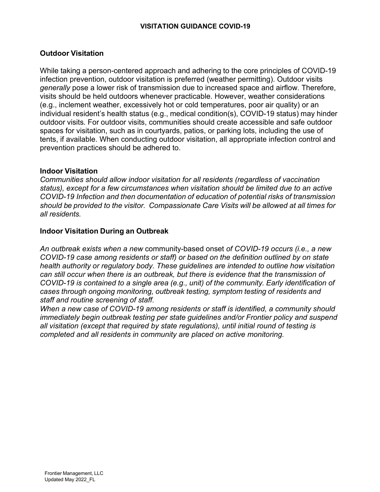# **Outdoor Visitation**

While taking a person-centered approach and adhering to the core principles of COVID-19 infection prevention, outdoor visitation is preferred (weather permitting). Outdoor visits *generally* pose a lower risk of transmission due to increased space and airflow. Therefore, visits should be held outdoors whenever practicable. However, weather considerations (e.g., inclement weather, excessively hot or cold temperatures, poor air quality) or an individual resident's health status (e.g., medical condition(s), COVID-19 status) may hinder outdoor visits*.* For outdoor visits, communities should create accessible and safe outdoor spaces for visitation, such as in courtyards, patios, or parking lots, including the use of tents, if available. When conducting outdoor visitation, all appropriate infection control and prevention practices should be adhered to.

### **Indoor Visitation**

*Communities should allow indoor visitation for all residents (regardless of vaccination status), except for a few circumstances when visitation should be limited due to an active COVID-19 Infection and then documentation of education of potential risks of transmission should be provided to the visitor. Compassionate Care Visits will be allowed at all times for all residents.*

### **Indoor Visitation During an Outbreak**

*An outbreak exists when a new* community-based onset *of COVID-19 occurs (i.e., a new COVID-19 case among residents or staff) or based on the definition outlined by on state health authority or regulatory body. These guidelines are intended to outline how visitation can still occur when there is an outbreak, but there is evidence that the transmission of COVID-19 is contained to a single area (e.g., unit) of the community. Early identification of cases through ongoing monitoring, outbreak testing, symptom testing of residents and staff and routine screening of staff.* 

*When a new case of COVID-19 among residents or staff is identified, a community should immediately begin outbreak testing per state guidelines and/or Frontier policy and suspend all visitation (except that required by state regulations), until initial round of testing is completed and all residents in community are placed on active monitoring.*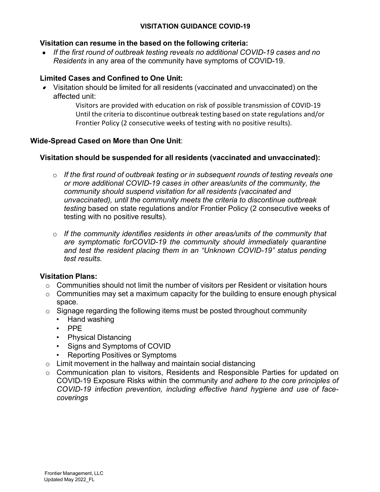#### **VISITATION GUIDANCE COVID-19**

#### **Visitation can resume in the based on the following criteria:**

*If the first round of outbreak testing reveals no additional COVID-19 cases and no Residents* in any area of the community have symptoms of COVID-19.

# **Limited Cases and Confined to One Unit:**

Visitation should be limited for all residents (vaccinated and unvaccinated) on the affected unit:

> Visitors are provided with education on risk of possible transmission of COVID-19 Until the criteria to discontinue outbreak testing based on state regulations and/or Frontier Policy (2 consecutive weeks of testing with no positive results).

### **Wide-Spread Cased on More than One Unit**:

#### **Visitation should be suspended for all residents (vaccinated and unvaccinated):**

- o *If the first round of outbreak testing or in subsequent rounds of testing reveals one or more additional COVID-19 cases in other areas/units of the community, the community should suspend visitation for all residents (vaccinated and unvaccinated), until the community meets the criteria to discontinue outbreak testing* based on state regulations and/or Frontier Policy (2 consecutive weeks of testing with no positive results).
- o *If the community identifies residents in other areas/units of the community that are symptomatic forCOVID-19 the community should immediately quarantine and test the resident placing them in an "Unknown COVID-19" status pending test results.*

#### **Visitation Plans:**

- o Communities should not limit the number of visitors per Resident or visitation hours
- $\circ$  Communities may set a maximum capacity for the building to ensure enough physical space.
- $\circ$  Signage regarding the following items must be posted throughout community
	- Hand washing
	- PPE
	- Physical Distancing
	- Signs and Symptoms of COVID
	- Reporting Positives or Symptoms
- $\circ$  Limit movement in the hallway and maintain social distancing
- o Communication plan to visitors, Residents and Responsible Parties for updated on COVID-19 Exposure Risks within the community *and adhere to the core principles of COVID-19 infection prevention, including effective hand hygiene and use of facecoverings*